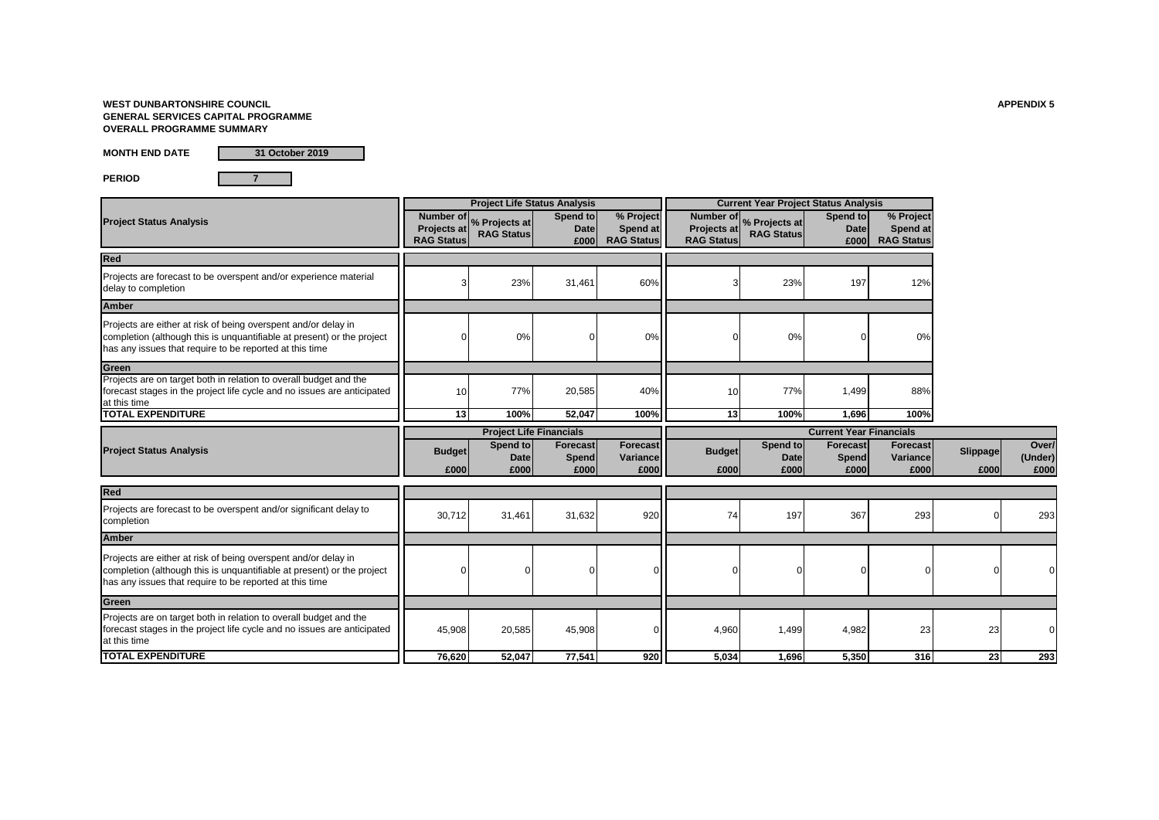### **WEST DUNBARTONSHIRE COUNCIL APPENDIX 5 GENERAL SERVICES CAPITAL PROGRAMME OVERALL PROGRAMME SUMMARY**

**MONTH END DATE**

**31 October 2019**

**PERIOD 7**

|                                                                                                                                                                                                     |                                               |                                    | <b>Project Life Status Analysis</b> |                                            |                                                      |                                    | <b>Current Year Project Status Analysis</b> |                                            |                  |                          |
|-----------------------------------------------------------------------------------------------------------------------------------------------------------------------------------------------------|-----------------------------------------------|------------------------------------|-------------------------------------|--------------------------------------------|------------------------------------------------------|------------------------------------|---------------------------------------------|--------------------------------------------|------------------|--------------------------|
| <b>Project Status Analysis</b>                                                                                                                                                                      | Number of<br>Projects at<br><b>RAG Status</b> | % Projects at<br><b>RAG Status</b> | Spend to<br><b>Date</b><br>£000     | % Project<br>Spend at<br><b>RAG Status</b> | Number of<br><b>Projects at</b><br><b>RAG Status</b> | % Projects at<br><b>RAG Status</b> | Spend to<br><b>Date</b><br>£000             | % Project<br>Spend at<br><b>RAG Status</b> |                  |                          |
| <b>Red</b>                                                                                                                                                                                          |                                               |                                    |                                     |                                            |                                                      |                                    |                                             |                                            |                  |                          |
| Projects are forecast to be overspent and/or experience material<br>delay to completion                                                                                                             | 3                                             | 23%                                | 31,461                              | 60%                                        |                                                      | 23%                                | 197                                         | 12%                                        |                  |                          |
| <b>Amber</b>                                                                                                                                                                                        |                                               |                                    |                                     |                                            |                                                      |                                    |                                             |                                            |                  |                          |
| Projects are either at risk of being overspent and/or delay in<br>completion (although this is unquantifiable at present) or the project<br>has any issues that require to be reported at this time | $\Omega$                                      | 0%                                 | 0                                   | 0%                                         |                                                      | 0%                                 | $\Omega$                                    | 0%                                         |                  |                          |
| Green                                                                                                                                                                                               |                                               |                                    |                                     |                                            |                                                      |                                    |                                             |                                            |                  |                          |
| Projects are on target both in relation to overall budget and the<br>forecast stages in the project life cycle and no issues are anticipated<br>at this time                                        | 10                                            | 77%                                | 20,585                              | 40%                                        | 10                                                   | 77%                                | 1,499                                       | 88%                                        |                  |                          |
| <b>TOTAL EXPENDITURE</b>                                                                                                                                                                            | 13                                            | 100%                               | 52,047                              | 100%                                       | 13                                                   | 100%                               | 1,696                                       | 100%                                       |                  |                          |
|                                                                                                                                                                                                     |                                               |                                    | <b>Project Life Financials</b>      |                                            |                                                      |                                    | <b>Current Year Financials</b>              |                                            |                  |                          |
| <b>Project Status Analysis</b>                                                                                                                                                                      | <b>Budget</b><br>£000                         | Spend to<br><b>Date</b><br>£000    | <b>Forecast</b><br>Spend<br>£000    | Forecast<br>Variance<br>£000               | <b>Budget</b><br>£000                                | Spend to<br><b>Date</b><br>£000    | Forecast<br>Spend<br>£000                   | <b>Forecast</b><br>Variance<br>£000        | Slippage<br>£000 | Over/<br>(Under)<br>£000 |
|                                                                                                                                                                                                     |                                               |                                    |                                     |                                            |                                                      |                                    |                                             |                                            |                  |                          |
| Red                                                                                                                                                                                                 |                                               |                                    |                                     |                                            |                                                      |                                    |                                             |                                            |                  |                          |
| Projects are forecast to be overspent and/or significant delay to<br>completion                                                                                                                     | 30,712                                        | 31,461                             | 31,632                              | 920                                        | 74                                                   | 197                                | 367                                         | 293                                        |                  | 293                      |
| <b>Amber</b>                                                                                                                                                                                        |                                               |                                    |                                     |                                            |                                                      |                                    |                                             |                                            |                  |                          |
| Projects are either at risk of being overspent and/or delay in<br>completion (although this is unquantifiable at present) or the project<br>has any issues that require to be reported at this time | 0                                             |                                    | 0                                   |                                            |                                                      | $\Omega$                           | $\Omega$                                    |                                            |                  |                          |
| Green                                                                                                                                                                                               |                                               |                                    |                                     |                                            |                                                      |                                    |                                             |                                            |                  |                          |
| Projects are on target both in relation to overall budget and the<br>forecast stages in the project life cycle and no issues are anticipated<br>at this time                                        | 45,908                                        | 20,585                             | 45,908                              |                                            | 4,960                                                | 1,499                              | 4,982                                       | 23                                         | 23               |                          |
| <b>TOTAL EXPENDITURE</b>                                                                                                                                                                            | 76,620                                        | 52,047                             | 77,541                              | 920                                        | 5,034                                                | 1,696                              | 5,350                                       | 316                                        | 23               | 293                      |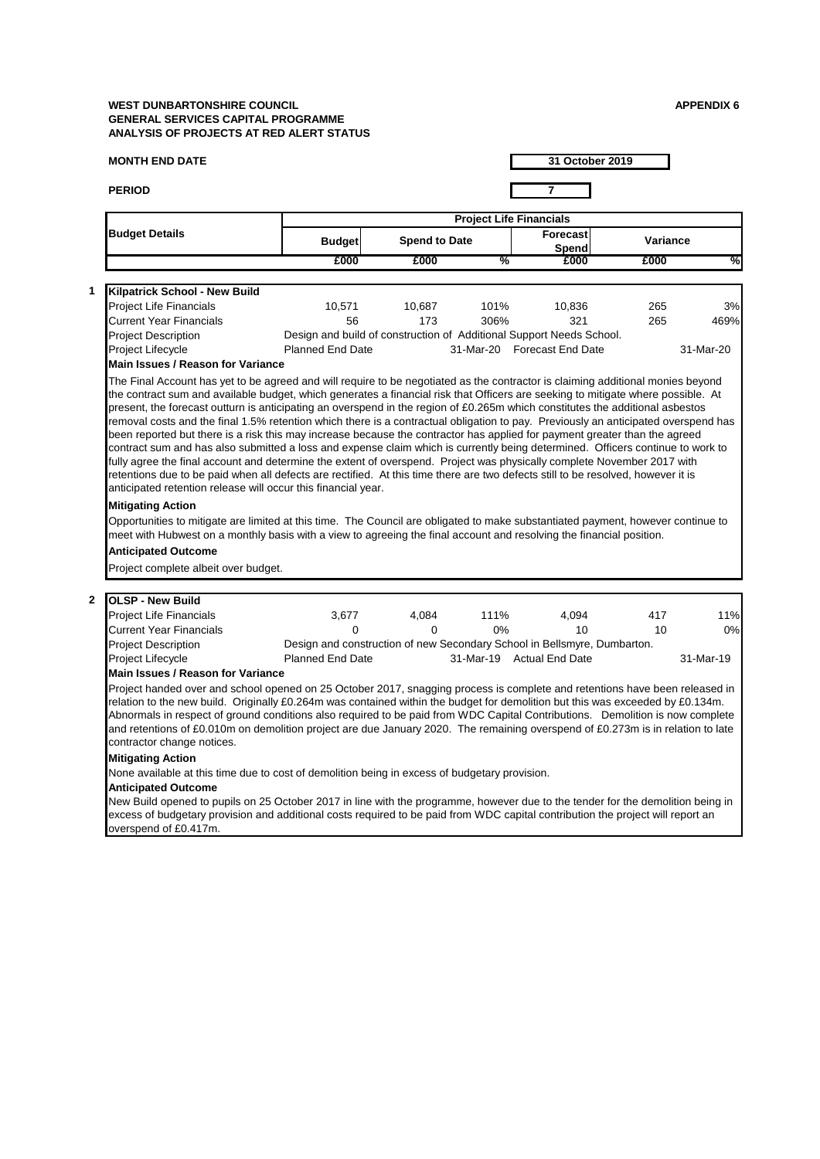| <b>MONTH END DATE</b>                                                                                                                                                                                                                                                                                                                                                                                                                                                                                                                                                                                                                                                                                                                                                                                                                                                                                                                                                                                                                                                                                                                                                                          |                                                                                                     |                      |                                | 31 October 2019             |          |                        |
|------------------------------------------------------------------------------------------------------------------------------------------------------------------------------------------------------------------------------------------------------------------------------------------------------------------------------------------------------------------------------------------------------------------------------------------------------------------------------------------------------------------------------------------------------------------------------------------------------------------------------------------------------------------------------------------------------------------------------------------------------------------------------------------------------------------------------------------------------------------------------------------------------------------------------------------------------------------------------------------------------------------------------------------------------------------------------------------------------------------------------------------------------------------------------------------------|-----------------------------------------------------------------------------------------------------|----------------------|--------------------------------|-----------------------------|----------|------------------------|
| <b>PERIOD</b>                                                                                                                                                                                                                                                                                                                                                                                                                                                                                                                                                                                                                                                                                                                                                                                                                                                                                                                                                                                                                                                                                                                                                                                  |                                                                                                     |                      |                                | 7                           |          |                        |
|                                                                                                                                                                                                                                                                                                                                                                                                                                                                                                                                                                                                                                                                                                                                                                                                                                                                                                                                                                                                                                                                                                                                                                                                |                                                                                                     |                      | <b>Project Life Financials</b> |                             |          |                        |
| <b>Budget Details</b>                                                                                                                                                                                                                                                                                                                                                                                                                                                                                                                                                                                                                                                                                                                                                                                                                                                                                                                                                                                                                                                                                                                                                                          | <b>Budget</b>                                                                                       | <b>Spend to Date</b> |                                | Forecast<br>Spend           | Variance |                        |
|                                                                                                                                                                                                                                                                                                                                                                                                                                                                                                                                                                                                                                                                                                                                                                                                                                                                                                                                                                                                                                                                                                                                                                                                | £000                                                                                                | £000                 | %                              | £000                        | £000     |                        |
| <b>Kilpatrick School - New Build</b>                                                                                                                                                                                                                                                                                                                                                                                                                                                                                                                                                                                                                                                                                                                                                                                                                                                                                                                                                                                                                                                                                                                                                           |                                                                                                     |                      |                                |                             |          |                        |
| <b>Project Life Financials</b>                                                                                                                                                                                                                                                                                                                                                                                                                                                                                                                                                                                                                                                                                                                                                                                                                                                                                                                                                                                                                                                                                                                                                                 | 10,571                                                                                              | 10,687               | 101%                           | 10,836                      | 265      | 3%                     |
| <b>Current Year Financials</b>                                                                                                                                                                                                                                                                                                                                                                                                                                                                                                                                                                                                                                                                                                                                                                                                                                                                                                                                                                                                                                                                                                                                                                 | 56                                                                                                  | 173                  | 306%                           | 321                         | 265      | 469%                   |
| <b>Project Description</b>                                                                                                                                                                                                                                                                                                                                                                                                                                                                                                                                                                                                                                                                                                                                                                                                                                                                                                                                                                                                                                                                                                                                                                     | Design and build of construction of Additional Support Needs School.                                |                      |                                |                             |          |                        |
| Project Lifecycle                                                                                                                                                                                                                                                                                                                                                                                                                                                                                                                                                                                                                                                                                                                                                                                                                                                                                                                                                                                                                                                                                                                                                                              | <b>Planned End Date</b>                                                                             |                      |                                | 31-Mar-20 Forecast End Date |          | 31-Mar-20              |
| <b>Main Issues / Reason for Variance</b>                                                                                                                                                                                                                                                                                                                                                                                                                                                                                                                                                                                                                                                                                                                                                                                                                                                                                                                                                                                                                                                                                                                                                       |                                                                                                     |                      |                                |                             |          |                        |
| retentions due to be paid when all defects are rectified. At this time there are two defects still to be resolved, however it is<br>anticipated retention release will occur this financial year.                                                                                                                                                                                                                                                                                                                                                                                                                                                                                                                                                                                                                                                                                                                                                                                                                                                                                                                                                                                              |                                                                                                     |                      |                                |                             |          |                        |
| <b>Mitigating Action</b><br>Opportunities to mitigate are limited at this time. The Council are obligated to make substantiated payment, however continue to<br>meet with Hubwest on a monthly basis with a view to agreeing the final account and resolving the financial position.<br><b>Anticipated Outcome</b>                                                                                                                                                                                                                                                                                                                                                                                                                                                                                                                                                                                                                                                                                                                                                                                                                                                                             |                                                                                                     |                      |                                |                             |          |                        |
| Project complete albeit over budget.                                                                                                                                                                                                                                                                                                                                                                                                                                                                                                                                                                                                                                                                                                                                                                                                                                                                                                                                                                                                                                                                                                                                                           |                                                                                                     |                      |                                |                             |          |                        |
|                                                                                                                                                                                                                                                                                                                                                                                                                                                                                                                                                                                                                                                                                                                                                                                                                                                                                                                                                                                                                                                                                                                                                                                                | 3,677                                                                                               | 4,084                | 111%                           | 4,094                       | 417      |                        |
|                                                                                                                                                                                                                                                                                                                                                                                                                                                                                                                                                                                                                                                                                                                                                                                                                                                                                                                                                                                                                                                                                                                                                                                                | 0                                                                                                   | 0                    | 0%                             | 10                          | 10       |                        |
|                                                                                                                                                                                                                                                                                                                                                                                                                                                                                                                                                                                                                                                                                                                                                                                                                                                                                                                                                                                                                                                                                                                                                                                                |                                                                                                     |                      |                                |                             |          |                        |
|                                                                                                                                                                                                                                                                                                                                                                                                                                                                                                                                                                                                                                                                                                                                                                                                                                                                                                                                                                                                                                                                                                                                                                                                | Design and construction of new Secondary School in Bellsmyre, Dumbarton.<br><b>Planned End Date</b> |                      |                                | 31-Mar-19 Actual End Date   |          |                        |
|                                                                                                                                                                                                                                                                                                                                                                                                                                                                                                                                                                                                                                                                                                                                                                                                                                                                                                                                                                                                                                                                                                                                                                                                |                                                                                                     |                      |                                |                             |          | 11%<br>0%<br>31-Mar-19 |
| <b>OLSP - New Build</b><br><b>Project Life Financials</b><br><b>Current Year Financials</b><br><b>Project Description</b><br>Project Lifecycle<br><b>Main Issues / Reason for Variance</b><br>Project handed over and school opened on 25 October 2017, snagging process is complete and retentions have been released in<br>relation to the new build. Originally £0.264m was contained within the budget for demolition but this was exceeded by £0.134m.<br>Abnormals in respect of ground conditions also required to be paid from WDC Capital Contributions. Demolition is now complete<br>and retentions of £0.010m on demolition project are due January 2020. The remaining overspend of £0.273m is in relation to late<br>contractor change notices.<br><b>Mitigating Action</b><br>None available at this time due to cost of demolition being in excess of budgetary provision.<br><b>Anticipated Outcome</b><br>New Build opened to pupils on 25 October 2017 in line with the programme, however due to the tender for the demolition being in<br>excess of budgetary provision and additional costs required to be paid from WDC capital contribution the project will report an |                                                                                                     |                      |                                |                             |          |                        |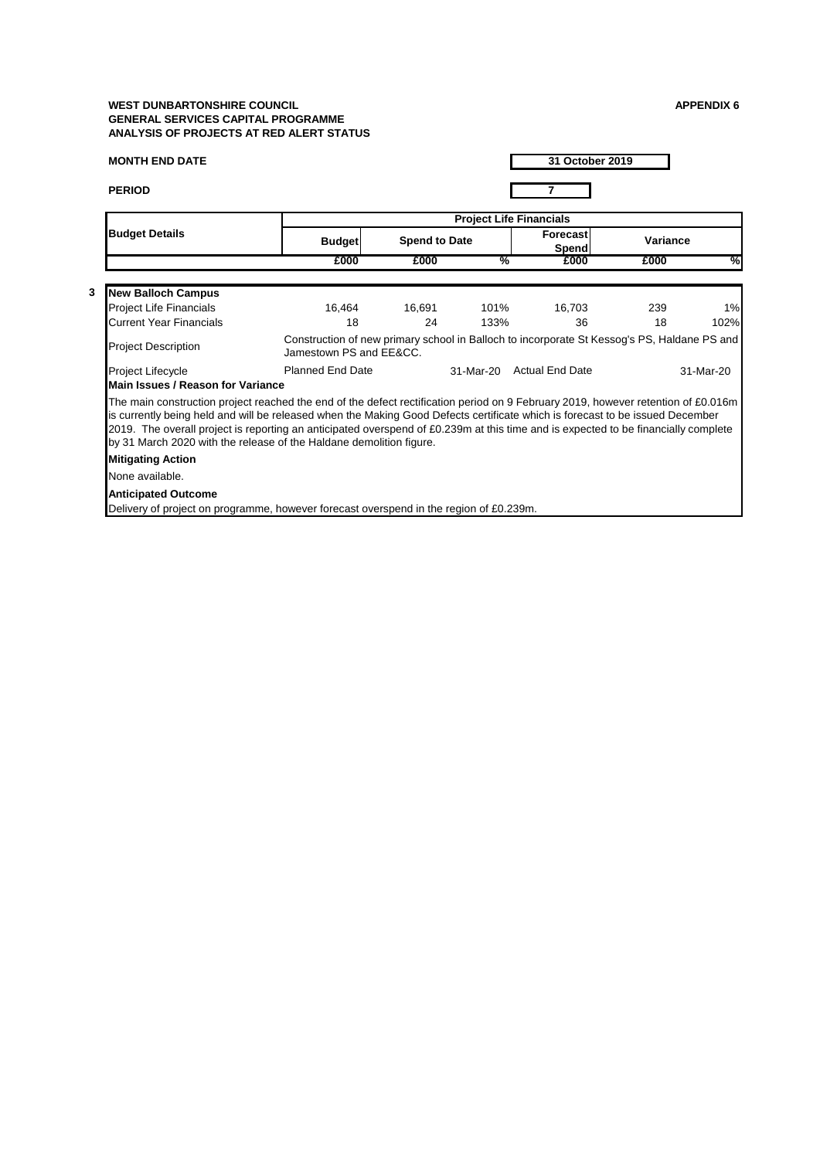| <b>MONTH END DATE</b>                                                                                                                                                                                                                                                                                                                                                                                                                                                           |                         | 31 October 2019      |               |                                                                                             |          |           |  |
|---------------------------------------------------------------------------------------------------------------------------------------------------------------------------------------------------------------------------------------------------------------------------------------------------------------------------------------------------------------------------------------------------------------------------------------------------------------------------------|-------------------------|----------------------|---------------|---------------------------------------------------------------------------------------------|----------|-----------|--|
| <b>PERIOD</b>                                                                                                                                                                                                                                                                                                                                                                                                                                                                   |                         |                      |               |                                                                                             |          |           |  |
|                                                                                                                                                                                                                                                                                                                                                                                                                                                                                 |                         |                      |               | <b>Project Life Financials</b>                                                              |          |           |  |
| <b>Budget Details</b>                                                                                                                                                                                                                                                                                                                                                                                                                                                           | <b>Budget</b>           | <b>Spend to Date</b> |               | Forecast<br>Spend                                                                           | Variance |           |  |
|                                                                                                                                                                                                                                                                                                                                                                                                                                                                                 | £000                    | £000                 | $\frac{9}{6}$ | £000                                                                                        | £000     | %         |  |
| <b>New Balloch Campus</b>                                                                                                                                                                                                                                                                                                                                                                                                                                                       |                         |                      |               |                                                                                             |          |           |  |
| <b>Project Life Financials</b>                                                                                                                                                                                                                                                                                                                                                                                                                                                  | 16,464                  | 16.691               | 101%          | 16,703                                                                                      | 239      | 1%        |  |
| <b>Current Year Financials</b>                                                                                                                                                                                                                                                                                                                                                                                                                                                  | 18                      | 24                   | 133%          | 36                                                                                          | 18       | 102%      |  |
| <b>Project Description</b>                                                                                                                                                                                                                                                                                                                                                                                                                                                      | Jamestown PS and EE&CC. |                      |               | Construction of new primary school in Balloch to incorporate St Kessog's PS, Haldane PS and |          |           |  |
| <b>Project Lifecycle</b>                                                                                                                                                                                                                                                                                                                                                                                                                                                        | <b>Planned End Date</b> |                      |               | 31-Mar-20 Actual End Date                                                                   |          | 31-Mar-20 |  |
| Main Issues / Reason for Variance                                                                                                                                                                                                                                                                                                                                                                                                                                               |                         |                      |               |                                                                                             |          |           |  |
| The main construction project reached the end of the defect rectification period on 9 February 2019, however retention of £0.016m<br>is currently being held and will be released when the Making Good Defects certificate which is forecast to be issued December<br>2019. The overall project is reporting an anticipated overspend of £0.239m at this time and is expected to be financially complete<br>by 31 March 2020 with the release of the Haldane demolition figure. |                         |                      |               |                                                                                             |          |           |  |
| <b>Mitigating Action</b>                                                                                                                                                                                                                                                                                                                                                                                                                                                        |                         |                      |               |                                                                                             |          |           |  |
| None available.                                                                                                                                                                                                                                                                                                                                                                                                                                                                 |                         |                      |               |                                                                                             |          |           |  |
| <b>Anticipated Outcome</b>                                                                                                                                                                                                                                                                                                                                                                                                                                                      |                         |                      |               |                                                                                             |          |           |  |
| Delivery of project on programme, however forecast overspend in the region of £0.239m.                                                                                                                                                                                                                                                                                                                                                                                          |                         |                      |               |                                                                                             |          |           |  |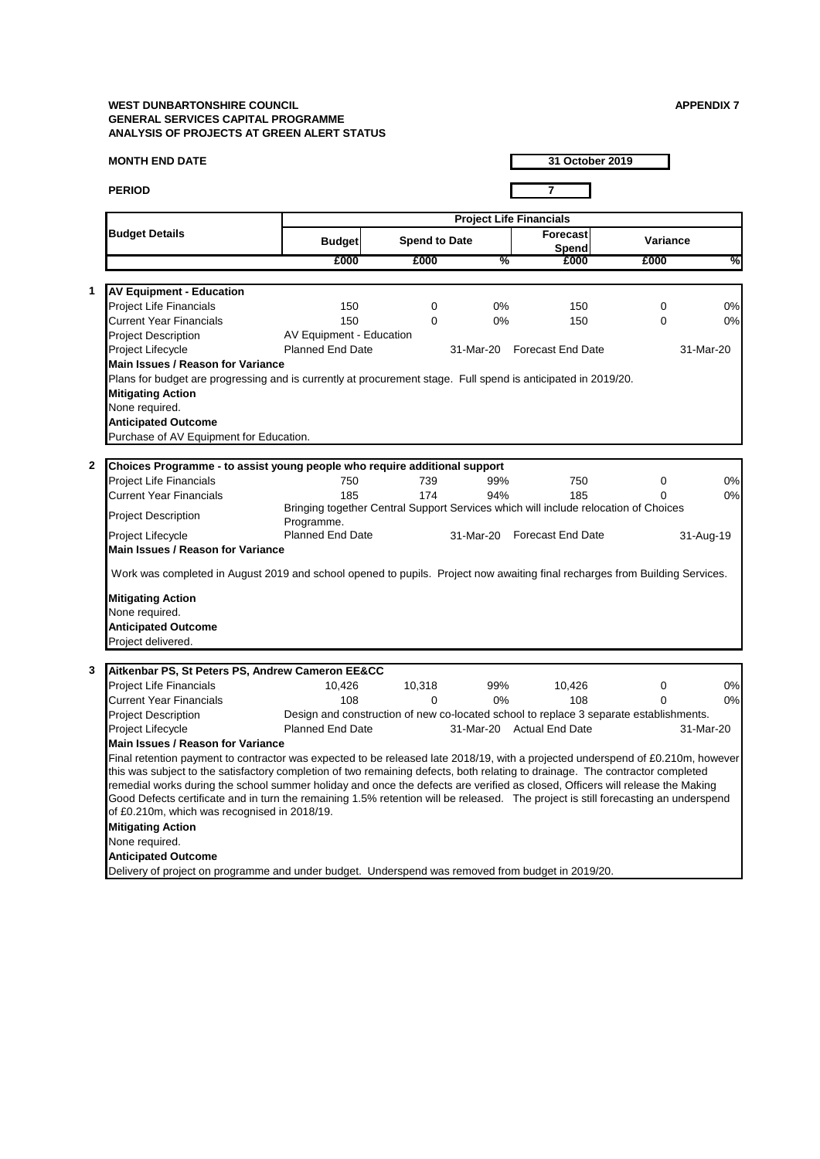|               | <b>MONTH END DATE</b>                                                                                                              |                          |                      |           |     | 31 October 2019                                                                        |          |           |
|---------------|------------------------------------------------------------------------------------------------------------------------------------|--------------------------|----------------------|-----------|-----|----------------------------------------------------------------------------------------|----------|-----------|
| <b>PERIOD</b> |                                                                                                                                    |                          |                      |           |     | 7                                                                                      |          |           |
|               |                                                                                                                                    |                          |                      |           |     | <b>Project Life Financials</b>                                                         |          |           |
|               | <b>Budget Details</b>                                                                                                              | <b>Budget</b>            | <b>Spend to Date</b> |           |     | <b>Forecast</b><br>Spend                                                               | Variance |           |
|               |                                                                                                                                    | £000                     | £000                 |           | %   | £000                                                                                   | £000     | %         |
| 1             | <b>AV Equipment - Education</b>                                                                                                    |                          |                      |           |     |                                                                                        |          |           |
|               | <b>Project Life Financials</b>                                                                                                     | 150                      | 0                    |           | 0%  | 150                                                                                    | 0        | 0%        |
|               | <b>Current Year Financials</b>                                                                                                     | 150                      | $\Omega$             |           | 0%  | 150                                                                                    | 0        | 0%        |
|               | <b>Project Description</b>                                                                                                         | AV Equipment - Education |                      |           |     |                                                                                        |          |           |
|               | Project Lifecycle                                                                                                                  | <b>Planned End Date</b>  |                      | 31-Mar-20 |     | <b>Forecast End Date</b>                                                               |          | 31-Mar-20 |
|               | <b>Main Issues / Reason for Variance</b>                                                                                           |                          |                      |           |     |                                                                                        |          |           |
|               | Plans for budget are progressing and is currently at procurement stage. Full spend is anticipated in 2019/20.                      |                          |                      |           |     |                                                                                        |          |           |
|               | <b>Mitigating Action</b>                                                                                                           |                          |                      |           |     |                                                                                        |          |           |
|               | None required.                                                                                                                     |                          |                      |           |     |                                                                                        |          |           |
|               | <b>Anticipated Outcome</b>                                                                                                         |                          |                      |           |     |                                                                                        |          |           |
|               | Purchase of AV Equipment for Education.                                                                                            |                          |                      |           |     |                                                                                        |          |           |
|               |                                                                                                                                    |                          |                      |           |     |                                                                                        |          |           |
| 2             | Choices Programme - to assist young people who require additional support                                                          |                          |                      |           |     |                                                                                        |          |           |
|               | <b>Project Life Financials</b>                                                                                                     | 750                      | 739                  |           | 99% | 750                                                                                    | 0        | 0%        |
|               | <b>Current Year Financials</b>                                                                                                     | 185                      | 174                  |           | 94% | 185                                                                                    | 0        | 0%        |
|               |                                                                                                                                    |                          |                      |           |     | Bringing together Central Support Services which will include relocation of Choices    |          |           |
|               | <b>Project Description</b>                                                                                                         | Programme.               |                      |           |     |                                                                                        |          |           |
|               | Project Lifecycle                                                                                                                  | <b>Planned End Date</b>  |                      | 31-Mar-20 |     | Forecast End Date                                                                      |          | 31-Aug-19 |
|               | Main Issues / Reason for Variance                                                                                                  |                          |                      |           |     |                                                                                        |          |           |
|               | Work was completed in August 2019 and school opened to pupils. Project now awaiting final recharges from Building Services.        |                          |                      |           |     |                                                                                        |          |           |
|               | <b>Mitigating Action</b>                                                                                                           |                          |                      |           |     |                                                                                        |          |           |
|               | None required.                                                                                                                     |                          |                      |           |     |                                                                                        |          |           |
|               | <b>Anticipated Outcome</b>                                                                                                         |                          |                      |           |     |                                                                                        |          |           |
|               | Project delivered.                                                                                                                 |                          |                      |           |     |                                                                                        |          |           |
|               |                                                                                                                                    |                          |                      |           |     |                                                                                        |          |           |
| 3             | Aitkenbar PS, St Peters PS, Andrew Cameron EE&CC                                                                                   |                          |                      |           |     |                                                                                        |          |           |
|               | Project Life Financials                                                                                                            | 10,426                   | 10,318               |           | 99% | 10,426                                                                                 | 0        | 0%        |
|               | <b>Current Year Financials</b>                                                                                                     | 108                      | $\Omega$             |           | 0%  | 108                                                                                    | $\Omega$ | 0%        |
|               | <b>Project Description</b>                                                                                                         |                          |                      |           |     | Design and construction of new co-located school to replace 3 separate establishments. |          |           |
|               | Project Lifecycle                                                                                                                  | <b>Planned End Date</b>  |                      |           |     | 31-Mar-20 Actual End Date                                                              |          | 31-Mar-20 |
|               | Main Issues / Reason for Variance                                                                                                  |                          |                      |           |     |                                                                                        |          |           |
|               | Final retention payment to contractor was expected to be released late 2018/19, with a projected underspend of £0.210m, however    |                          |                      |           |     |                                                                                        |          |           |
|               | this was subject to the satisfactory completion of two remaining defects, both relating to drainage. The contractor completed      |                          |                      |           |     |                                                                                        |          |           |
|               | remedial works during the school summer holiday and once the defects are verified as closed, Officers will release the Making      |                          |                      |           |     |                                                                                        |          |           |
|               | Good Defects certificate and in turn the remaining 1.5% retention will be released. The project is still forecasting an underspend |                          |                      |           |     |                                                                                        |          |           |
|               | of £0.210m, which was recognised in 2018/19.                                                                                       |                          |                      |           |     |                                                                                        |          |           |
|               | <b>Mitigating Action</b>                                                                                                           |                          |                      |           |     |                                                                                        |          |           |
|               | None required.                                                                                                                     |                          |                      |           |     |                                                                                        |          |           |
|               | <b>Anticipated Outcome</b>                                                                                                         |                          |                      |           |     |                                                                                        |          |           |
|               | Delivery of project on programme and under budget. Underspend was removed from budget in 2019/20.                                  |                          |                      |           |     |                                                                                        |          |           |
|               |                                                                                                                                    |                          |                      |           |     |                                                                                        |          |           |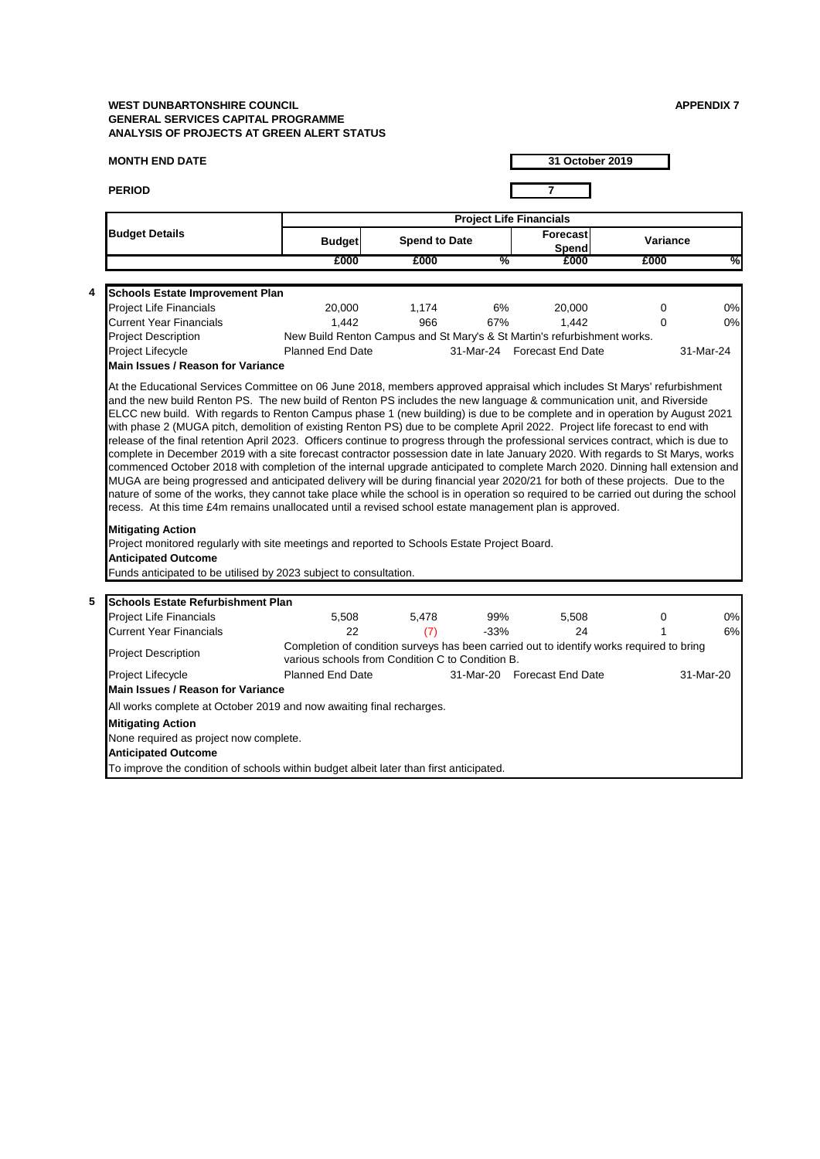| <b>MONTH END DATE</b>                                                                                                                                                                                                                                                                                                                                                                                                                                                                                                                                                                                                                                                                                                                                                                                            |                                                  |                      |        | 31 October 2019                                                                          |             |           |  |  |  |  |
|------------------------------------------------------------------------------------------------------------------------------------------------------------------------------------------------------------------------------------------------------------------------------------------------------------------------------------------------------------------------------------------------------------------------------------------------------------------------------------------------------------------------------------------------------------------------------------------------------------------------------------------------------------------------------------------------------------------------------------------------------------------------------------------------------------------|--------------------------------------------------|----------------------|--------|------------------------------------------------------------------------------------------|-------------|-----------|--|--|--|--|
| <b>PERIOD</b>                                                                                                                                                                                                                                                                                                                                                                                                                                                                                                                                                                                                                                                                                                                                                                                                    |                                                  |                      |        | $\overline{7}$                                                                           |             |           |  |  |  |  |
|                                                                                                                                                                                                                                                                                                                                                                                                                                                                                                                                                                                                                                                                                                                                                                                                                  | <b>Project Life Financials</b>                   |                      |        |                                                                                          |             |           |  |  |  |  |
| <b>Budget Details</b>                                                                                                                                                                                                                                                                                                                                                                                                                                                                                                                                                                                                                                                                                                                                                                                            | <b>Budget</b>                                    | <b>Spend to Date</b> |        | Forecast<br>Spend                                                                        | Variance    |           |  |  |  |  |
|                                                                                                                                                                                                                                                                                                                                                                                                                                                                                                                                                                                                                                                                                                                                                                                                                  | £000                                             | £000                 | %      | £000                                                                                     | £000        | %         |  |  |  |  |
| 4<br><b>Schools Estate Improvement Plan</b>                                                                                                                                                                                                                                                                                                                                                                                                                                                                                                                                                                                                                                                                                                                                                                      |                                                  |                      |        |                                                                                          |             |           |  |  |  |  |
| <b>Project Life Financials</b>                                                                                                                                                                                                                                                                                                                                                                                                                                                                                                                                                                                                                                                                                                                                                                                   | 20,000                                           | 1,174                | 6%     | 20,000                                                                                   | $\mathbf 0$ | 0%        |  |  |  |  |
| <b>Current Year Financials</b>                                                                                                                                                                                                                                                                                                                                                                                                                                                                                                                                                                                                                                                                                                                                                                                   | 1,442                                            | 966                  | 67%    | 1,442                                                                                    | $\Omega$    | 0%        |  |  |  |  |
| <b>Project Description</b>                                                                                                                                                                                                                                                                                                                                                                                                                                                                                                                                                                                                                                                                                                                                                                                       |                                                  |                      |        | New Build Renton Campus and St Mary's & St Martin's refurbishment works.                 |             |           |  |  |  |  |
| Project Lifecycle                                                                                                                                                                                                                                                                                                                                                                                                                                                                                                                                                                                                                                                                                                                                                                                                | <b>Planned End Date</b>                          |                      |        | 31-Mar-24 Forecast End Date                                                              |             | 31-Mar-24 |  |  |  |  |
| <b>Main Issues / Reason for Variance</b>                                                                                                                                                                                                                                                                                                                                                                                                                                                                                                                                                                                                                                                                                                                                                                         |                                                  |                      |        |                                                                                          |             |           |  |  |  |  |
| complete in December 2019 with a site forecast contractor possession date in late January 2020. With regards to St Marys, works<br>commenced October 2018 with completion of the internal upgrade anticipated to complete March 2020. Dinning hall extension and<br>MUGA are being progressed and anticipated delivery will be during financial year 2020/21 for both of these projects. Due to the<br>nature of some of the works, they cannot take place while the school is in operation so required to be carried out during the school<br>recess. At this time £4m remains unallocated until a revised school estate management plan is approved.<br><b>Mitigating Action</b><br>Project monitored regularly with site meetings and reported to Schools Estate Project Board.<br><b>Anticipated Outcome</b> |                                                  |                      |        |                                                                                          |             |           |  |  |  |  |
| Funds anticipated to be utilised by 2023 subject to consultation.                                                                                                                                                                                                                                                                                                                                                                                                                                                                                                                                                                                                                                                                                                                                                |                                                  |                      |        |                                                                                          |             |           |  |  |  |  |
| 5<br>Schools Estate Refurbishment Plan                                                                                                                                                                                                                                                                                                                                                                                                                                                                                                                                                                                                                                                                                                                                                                           |                                                  |                      |        |                                                                                          |             |           |  |  |  |  |
| Project Life Financials                                                                                                                                                                                                                                                                                                                                                                                                                                                                                                                                                                                                                                                                                                                                                                                          | 5,508                                            | 5.478                | 99%    | 5,508                                                                                    | 0           | 0%        |  |  |  |  |
| <b>Current Year Financials</b>                                                                                                                                                                                                                                                                                                                                                                                                                                                                                                                                                                                                                                                                                                                                                                                   | 22                                               | (7)                  | $-33%$ | 24                                                                                       | 1           | 6%        |  |  |  |  |
| Project Description                                                                                                                                                                                                                                                                                                                                                                                                                                                                                                                                                                                                                                                                                                                                                                                              | various schools from Condition C to Condition B. |                      |        | Completion of condition surveys has been carried out to identify works required to bring |             |           |  |  |  |  |
| Project Lifecycle<br><b>Main Issues / Reason for Variance</b>                                                                                                                                                                                                                                                                                                                                                                                                                                                                                                                                                                                                                                                                                                                                                    | <b>Planned End Date</b>                          |                      |        | 31-Mar-20 Forecast End Date                                                              |             | 31-Mar-20 |  |  |  |  |
| All works complete at October 2019 and now awaiting final recharges.                                                                                                                                                                                                                                                                                                                                                                                                                                                                                                                                                                                                                                                                                                                                             |                                                  |                      |        |                                                                                          |             |           |  |  |  |  |
| <b>Mitigating Action</b><br>None required as project now complete.<br><b>Anticipated Outcome</b>                                                                                                                                                                                                                                                                                                                                                                                                                                                                                                                                                                                                                                                                                                                 |                                                  |                      |        |                                                                                          |             |           |  |  |  |  |
| To improve the condition of schools within budget albeit later than first anticipated.                                                                                                                                                                                                                                                                                                                                                                                                                                                                                                                                                                                                                                                                                                                           |                                                  |                      |        |                                                                                          |             |           |  |  |  |  |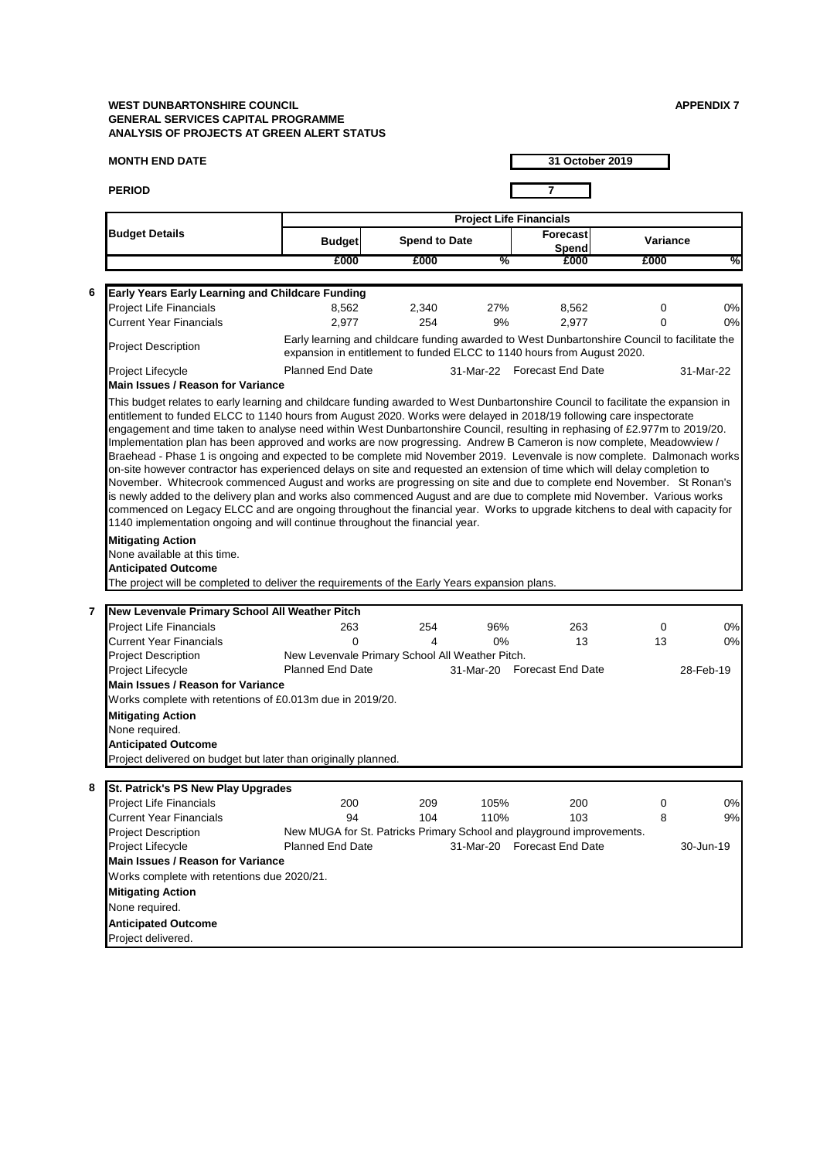| <b>MONTH END DATE</b>                                                                                                                                                                                                                                                                                                                                                                                                            |                                                                                                                                                                          |                      |                                | 31 October 2019             |          |           |
|----------------------------------------------------------------------------------------------------------------------------------------------------------------------------------------------------------------------------------------------------------------------------------------------------------------------------------------------------------------------------------------------------------------------------------|--------------------------------------------------------------------------------------------------------------------------------------------------------------------------|----------------------|--------------------------------|-----------------------------|----------|-----------|
| <b>PERIOD</b>                                                                                                                                                                                                                                                                                                                                                                                                                    |                                                                                                                                                                          |                      |                                | $\overline{7}$              |          |           |
|                                                                                                                                                                                                                                                                                                                                                                                                                                  |                                                                                                                                                                          |                      | <b>Project Life Financials</b> |                             |          |           |
| <b>Budget Details</b>                                                                                                                                                                                                                                                                                                                                                                                                            | <b>Budget</b>                                                                                                                                                            | <b>Spend to Date</b> |                                | <b>Forecast</b><br>Spend    | Variance |           |
|                                                                                                                                                                                                                                                                                                                                                                                                                                  | £000                                                                                                                                                                     | £000                 | $\%$                           | £000                        | £000     | %         |
| Early Years Early Learning and Childcare Funding<br>6                                                                                                                                                                                                                                                                                                                                                                            |                                                                                                                                                                          |                      |                                |                             |          |           |
| Project Life Financials                                                                                                                                                                                                                                                                                                                                                                                                          | 8,562                                                                                                                                                                    | 2,340                | 27%                            | 8,562                       | 0        | 0%        |
| <b>Current Year Financials</b>                                                                                                                                                                                                                                                                                                                                                                                                   | 2,977                                                                                                                                                                    | 254                  | 9%                             | 2,977                       | 0        | 0%        |
| <b>Project Description</b>                                                                                                                                                                                                                                                                                                                                                                                                       | Early learning and childcare funding awarded to West Dunbartonshire Council to facilitate the<br>expansion in entitlement to funded ELCC to 1140 hours from August 2020. |                      |                                |                             |          |           |
| Project Lifecycle<br>Main Issues / Reason for Variance                                                                                                                                                                                                                                                                                                                                                                           | <b>Planned End Date</b>                                                                                                                                                  |                      |                                | 31-Mar-22 Forecast End Date |          | 31-Mar-22 |
| Braehead - Phase 1 is ongoing and expected to be complete mid November 2019. Levenvale is now complete. Dalmonach works<br>on-site however contractor has experienced delays on site and requested an extension of time which will delay completion to<br>November. Whitecrook commenced August and works are progressing on site and due to complete end November. St Ronan's                                                   |                                                                                                                                                                          |                      |                                |                             |          |           |
| is newly added to the delivery plan and works also commenced August and are due to complete mid November. Various works<br>commenced on Legacy ELCC and are ongoing throughout the financial year. Works to upgrade kitchens to deal with capacity for<br>1140 implementation ongoing and will continue throughout the financial year.<br><b>Mitigating Action</b><br>None available at this time.<br><b>Anticipated Outcome</b> |                                                                                                                                                                          |                      |                                |                             |          |           |
| The project will be completed to deliver the requirements of the Early Years expansion plans.                                                                                                                                                                                                                                                                                                                                    |                                                                                                                                                                          |                      |                                |                             |          |           |
| New Levenvale Primary School All Weather Pitch<br>7                                                                                                                                                                                                                                                                                                                                                                              |                                                                                                                                                                          |                      |                                |                             |          |           |
| Project Life Financials<br><b>Current Year Financials</b>                                                                                                                                                                                                                                                                                                                                                                        | 263<br>$\Omega$                                                                                                                                                          | 254<br>4             | 96%<br>0%                      | 263                         | 0<br>13  |           |
| Project Description                                                                                                                                                                                                                                                                                                                                                                                                              | New Levenvale Primary School All Weather Pitch.                                                                                                                          |                      |                                | 13                          |          |           |
| Project Lifecycle                                                                                                                                                                                                                                                                                                                                                                                                                | <b>Planned End Date</b>                                                                                                                                                  |                      |                                | 31-Mar-20 Forecast End Date |          | 28-Feb-19 |
| <b>Main Issues / Reason for Variance</b>                                                                                                                                                                                                                                                                                                                                                                                         |                                                                                                                                                                          |                      |                                |                             |          |           |
| Works complete with retentions of £0.013m due in 2019/20.                                                                                                                                                                                                                                                                                                                                                                        |                                                                                                                                                                          |                      |                                |                             |          |           |
| <b>Mitigating Action</b>                                                                                                                                                                                                                                                                                                                                                                                                         |                                                                                                                                                                          |                      |                                |                             |          | 0%<br>0%  |
| None required.                                                                                                                                                                                                                                                                                                                                                                                                                   |                                                                                                                                                                          |                      |                                |                             |          |           |
| <b>Anticipated Outcome</b><br>Project delivered on budget but later than originally planned.                                                                                                                                                                                                                                                                                                                                     |                                                                                                                                                                          |                      |                                |                             |          |           |
|                                                                                                                                                                                                                                                                                                                                                                                                                                  |                                                                                                                                                                          |                      |                                |                             |          |           |
| St. Patrick's PS New Play Upgrades<br>8                                                                                                                                                                                                                                                                                                                                                                                          |                                                                                                                                                                          |                      |                                |                             |          |           |
| Project Life Financials                                                                                                                                                                                                                                                                                                                                                                                                          | 200                                                                                                                                                                      | 209                  | 105%                           | 200                         | 0        | 0%        |
| <b>Current Year Financials</b>                                                                                                                                                                                                                                                                                                                                                                                                   | 94                                                                                                                                                                       | 104                  | 110%                           | 103                         | 8        | 9%        |
| Project Description                                                                                                                                                                                                                                                                                                                                                                                                              | New MUGA for St. Patricks Primary School and playground improvements.<br><b>Planned End Date</b>                                                                         |                      |                                | 31-Mar-20 Forecast End Date |          | 30-Jun-19 |
| Project Lifecycle<br><b>Main Issues / Reason for Variance</b>                                                                                                                                                                                                                                                                                                                                                                    |                                                                                                                                                                          |                      |                                |                             |          |           |
| Works complete with retentions due 2020/21.                                                                                                                                                                                                                                                                                                                                                                                      |                                                                                                                                                                          |                      |                                |                             |          |           |
| <b>Mitigating Action</b>                                                                                                                                                                                                                                                                                                                                                                                                         |                                                                                                                                                                          |                      |                                |                             |          |           |
| None required.                                                                                                                                                                                                                                                                                                                                                                                                                   |                                                                                                                                                                          |                      |                                |                             |          |           |
| <b>Anticipated Outcome</b>                                                                                                                                                                                                                                                                                                                                                                                                       |                                                                                                                                                                          |                      |                                |                             |          |           |